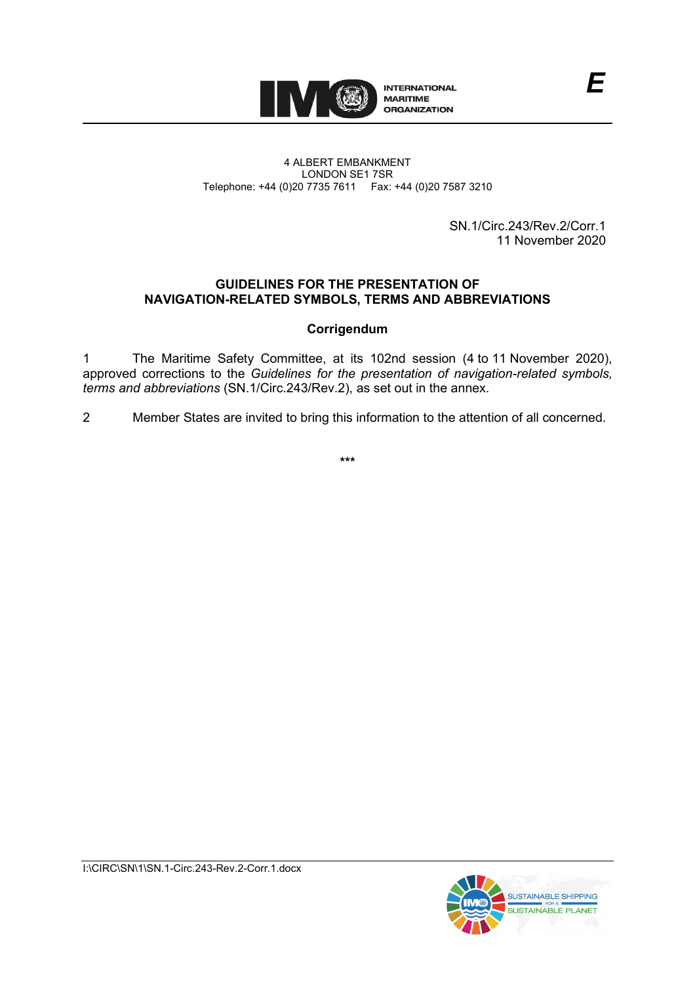

SN.1/Circ.243/Rev.2/Corr.1 11 November 2020

# **GUIDELINES FOR THE PRESENTATION OF NAVIGATION-RELATED SYMBOLS, TERMS AND ABBREVIATIONS**

## **Corrigendum**

1 The Maritime Safety Committee, at its 102nd session (4 to 11 November 2020), approved corrections to the *Guidelines for the presentation of navigation-related symbols, terms and abbreviations* (SN.1/Circ.243/Rev.2), as set out in the annex.

2 Member States are invited to bring this information to the attention of all concerned.

**\*\*\***